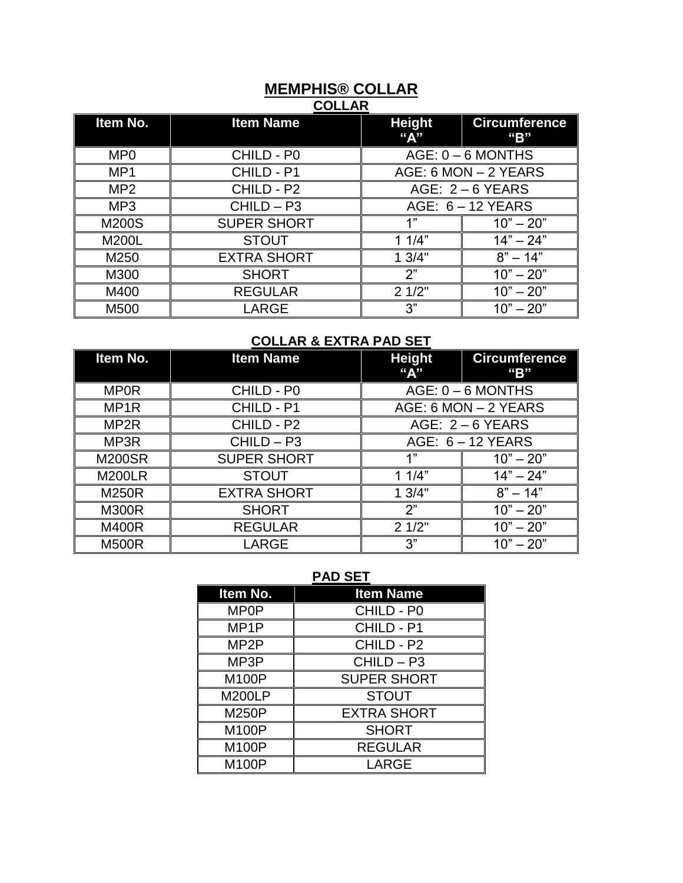#### **MEMPHIS® COLLAR COLLAR**

| Item No.        | <b>Item Name</b>   | <b>Height</b><br>"А" | <b>Circumference</b><br>"B" |
|-----------------|--------------------|----------------------|-----------------------------|
| MP <sub>0</sub> | CHILD - P0         | $AGE: 0 - 6 MOMTHS$  |                             |
| MP <sub>1</sub> | CHILD - P1         | AGE: 6 MON - 2 YEARS |                             |
| MP <sub>2</sub> | CHILD - P2         | AGE: $2 - 6$ YEARS   |                             |
| MP <sub>3</sub> | $CHILD - P3$       | AGE: $6 - 12$ YEARS  |                             |
| M200S           | <b>SUPER SHORT</b> | 1"                   | $10" - 20"$                 |
| M200L           | <b>STOUT</b>       | 11/4"                | $14" - 24"$                 |
| M250            | <b>EXTRA SHORT</b> | 13/4"                | $8" - 14"$                  |
| M300            | <b>SHORT</b>       | 2"                   | $10" - 20"$                 |
| M400            | <b>REGULAR</b>     | 21/2"                | $10" - 20"$                 |
| M500            | LARGE              | 3"                   | $10" - 20"$                 |

## **COLLAR & EXTRA PAD SET**

| Item No.         | <b>Item Name</b>   | <b>Height</b><br>"A" | <b>Circumference</b><br>"B" |
|------------------|--------------------|----------------------|-----------------------------|
| <b>MP0R</b>      | CHILD - P0         | $AGE: 0 - 6 MOMTHS$  |                             |
| MP <sub>1R</sub> | CHILD - P1         | AGE: 6 MON - 2 YEARS |                             |
| MP <sub>2R</sub> | CHILD - P2         | AGE: $2 - 6$ YEARS   |                             |
| MP3R             | $CHILD - P3$       | AGE: $6 - 12$ YEARS  |                             |
| <b>M200SR</b>    | <b>SUPER SHORT</b> | 1"                   | $10" - 20"$                 |
| <b>M200LR</b>    | <b>STOUT</b>       | 11/4"                | $14" - 24"$                 |
| <b>M250R</b>     | <b>EXTRA SHORT</b> | 13/4"                | $8" - 14"$                  |
| <b>M300R</b>     | <b>SHORT</b>       | 2"                   | $10" - 20"$                 |
| <b>M400R</b>     | <b>REGULAR</b>     | 21/2"                | $10" - 20"$                 |
| <b>M500R</b>     | LARGE              | 3"                   | $10" - 20"$                 |

#### **PAD SET**

| Item No.          | <b>Item Name</b>   |
|-------------------|--------------------|
| <b>MP0P</b>       | CHILD - P0         |
| MP <sub>1</sub> P | CHILD - P1         |
| MP <sub>2</sub> P | CHILD - P2         |
| MP3P              | $CHILD - P3$       |
| M100P             | <b>SUPER SHORT</b> |
| <b>M200LP</b>     | <b>STOUT</b>       |
| M250P             | <b>EXTRA SHORT</b> |
| M100P             | <b>SHORT</b>       |
| M100P             | <b>REGULAR</b>     |
| M100P             | <b>LARGE</b>       |